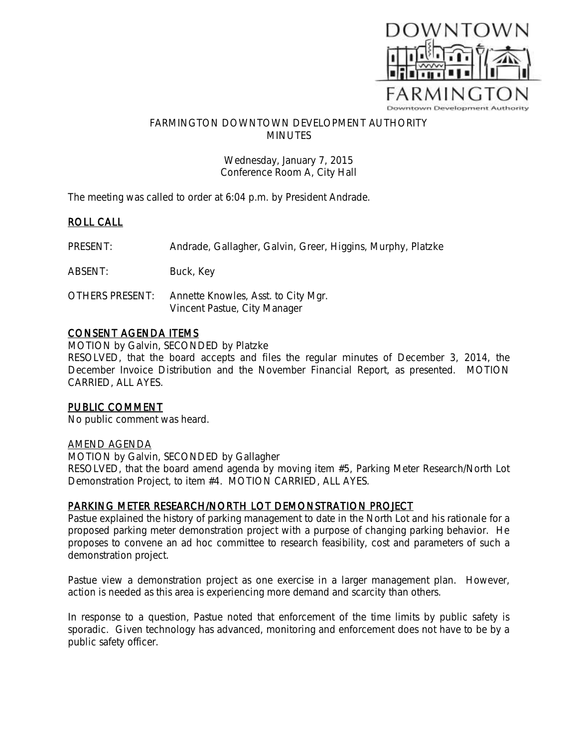

## FARMINGTON DOWNTOWN DEVELOPMENT AUTHORITY MINUTES

Wednesday, January 7, 2015 Conference Room A, City Hall

The meeting was called to order at 6:04 p.m. by President Andrade.

## ROLL CALL

PRESENT: Andrade, Gallagher, Galvin, Greer, Higgins, Murphy, Platzke

ABSENT: Buck, Key

OTHERS PRESENT: Annette Knowles, Asst. to City Mgr. Vincent Pastue, City Manager

## CONSENT AGENDA ITEMS

MOTION by Galvin, SECONDED by Platzke RESOLVED, that the board accepts and files the regular minutes of December 3, 2014, the December Invoice Distribution and the November Financial Report, as presented. MOTION CARRIED, ALL AYES.

## PUBLIC COMMENT

No public comment was heard.

#### AMEND AGENDA

MOTION by Galvin, SECONDED by Gallagher RESOLVED, that the board amend agenda by moving item #5, Parking Meter Research/North Lot Demonstration Project, to item #4. MOTION CARRIED, ALL AYES.

## PARKING METER RESEARCH/NORTH LOT DEMONSTRATION PROJECT

Pastue explained the history of parking management to date in the North Lot and his rationale for a proposed parking meter demonstration project with a purpose of changing parking behavior. He proposes to convene an ad hoc committee to research feasibility, cost and parameters of such a demonstration project.

Pastue view a demonstration project as one exercise in a larger management plan. However, action is needed as this area is experiencing more demand and scarcity than others.

In response to a question, Pastue noted that enforcement of the time limits by public safety is sporadic. Given technology has advanced, monitoring and enforcement does not have to be by a public safety officer.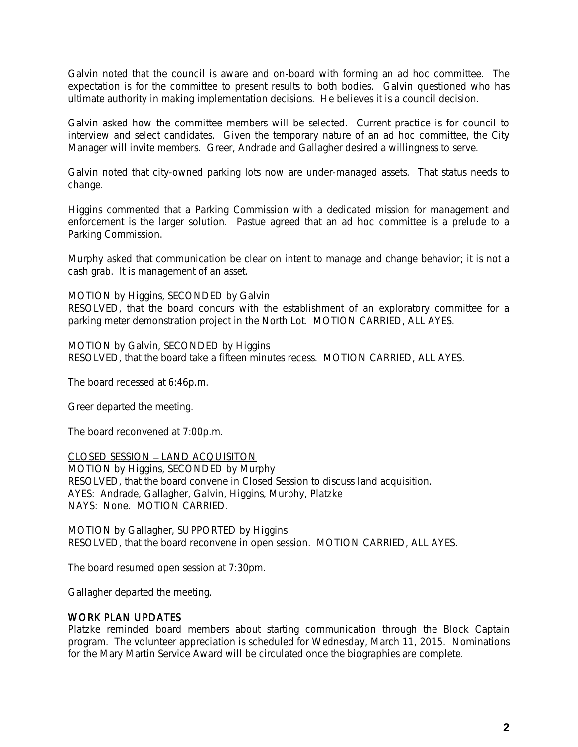Galvin noted that the council is aware and on-board with forming an ad hoc committee. The expectation is for the committee to present results to both bodies. Galvin questioned who has ultimate authority in making implementation decisions. He believes it is a council decision.

Galvin asked how the committee members will be selected. Current practice is for council to interview and select candidates. Given the temporary nature of an ad hoc committee, the City Manager will invite members. Greer, Andrade and Gallagher desired a willingness to serve.

Galvin noted that city-owned parking lots now are under-managed assets. That status needs to change.

Higgins commented that a Parking Commission with a dedicated mission for management and enforcement is the larger solution. Pastue agreed that an ad hoc committee is a prelude to a Parking Commission.

Murphy asked that communication be clear on intent to manage and change behavior; it is not a cash grab. It is management of an asset.

MOTION by Higgins, SECONDED by Galvin

RESOLVED, that the board concurs with the establishment of an exploratory committee for a parking meter demonstration project in the North Lot. MOTION CARRIED, ALL AYES.

MOTION by Galvin, SECONDED by Higgins RESOLVED, that the board take a fifteen minutes recess. MOTION CARRIED, ALL AYES.

The board recessed at 6:46p.m.

Greer departed the meeting.

The board reconvened at 7:00p.m.

CLOSED SESSION - LAND ACQUISITON MOTION by Higgins, SECONDED by Murphy RESOLVED, that the board convene in Closed Session to discuss land acquisition. AYES: Andrade, Gallagher, Galvin, Higgins, Murphy, Platzke NAYS: None. MOTION CARRIED.

MOTION by Gallagher, SUPPORTED by Higgins RESOLVED, that the board reconvene in open session. MOTION CARRIED, ALL AYES.

The board resumed open session at 7:30pm.

Gallagher departed the meeting.

## WORK PLAN UPDATES

Platzke reminded board members about starting communication through the Block Captain program. The volunteer appreciation is scheduled for Wednesday, March 11, 2015. Nominations for the Mary Martin Service Award will be circulated once the biographies are complete.